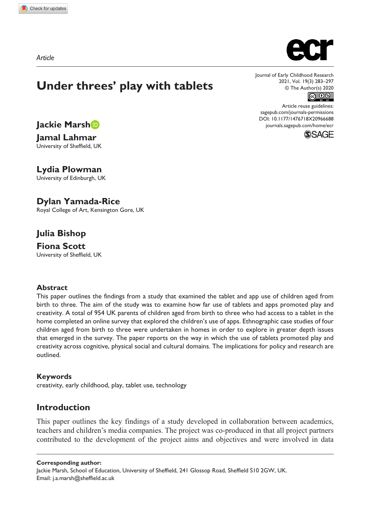*Article*



**Jackie Marsh**

**Jamal Lahmar** University of Sheffield, UK

**Lydia Plowman** University of Edinburgh, UK

**Dylan Yamada-Rice**

Royal College of Art, Kensington Gore, UK

# **Julia Bishop**

**Fiona Scott** University of Sheffield, UK

## **Abstract**

This paper outlines the findings from a study that examined the tablet and app use of children aged from birth to three. The aim of the study was to examine how far use of tablets and apps promoted play and creativity. A total of 954 UK parents of children aged from birth to three who had access to a tablet in the home completed an online survey that explored the children's use of apps. Ethnographic case studies of four children aged from birth to three were undertaken in homes in order to explore in greater depth issues that emerged in the survey. The paper reports on the way in which the use of tablets promoted play and creativity across cognitive, physical social and cultural domains. The implications for policy and research are outlined.

## **Keywords**

creativity, early childhood, play, tablet use, technology

## **Introduction**

This paper outlines the key findings of a study developed in collaboration between academics, teachers and children's media companies. The project was co-produced in that all project partners contributed to the development of the project aims and objectives and were involved in data

**Corresponding author:**

Jackie Marsh, School of Education, University of Sheffield, 241 Glossop Road, Sheffield S10 2GW, UK. Email: [j.a.marsh@sheffield.ac.uk](mailto:j.a.marsh@sheffield.ac.uk)



Journal of Early Childhood Research 2021, Vol. 19(3) 283–297 © The Author(s) 2020 

Article reuse guidelines: [sagepub.com/journals-permissions](https://uk.sagepub.com/en-gb/journals-permissions) DOI: 10.1177/1476718X20966688 [journals.sagepub.com/home/ecr](https://journals.sagepub.com/home/ecr)

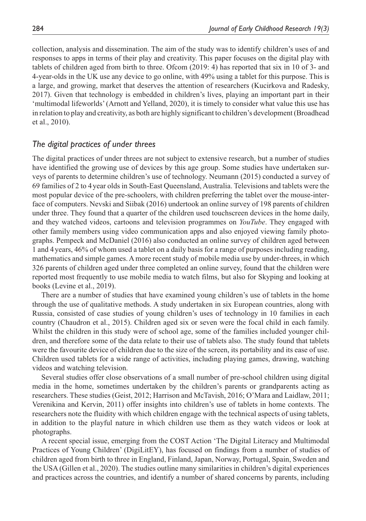collection, analysis and dissemination. The aim of the study was to identify children's uses of and responses to apps in terms of their play and creativity. This paper focuses on the digital play with tablets of children aged from birth to three. Ofcom (2019: 4) has reported that six in 10 of 3- and 4-year-olds in the UK use any device to go online, with 49% using a tablet for this purpose. This is a large, and growing, market that deserves the attention of researchers (Kucirkova and Radesky, 2017). Given that technology is embedded in children's lives, playing an important part in their 'multimodal lifeworlds' (Arnott and Yelland, 2020), it is timely to consider what value this use has in relation to play and creativity, as both are highly significant to children's development (Broadhead et al., 2010).

## *The digital practices of under threes*

The digital practices of under threes are not subject to extensive research, but a number of studies have identified the growing use of devices by this age group. Some studies have undertaken surveys of parents to determine children's use of technology. Neumann (2015) conducted a survey of 69 families of 2 to 4year olds in South-East Queensland, Australia. Televisions and tablets were the most popular device of the pre-schoolers, with children preferring the tablet over the mouse-interface of computers. Nevski and Siibak (2016) undertook an online survey of 198 parents of children under three. They found that a quarter of the children used touchscreen devices in the home daily, and they watched videos, cartoons and television programmes on *YouTube*. They engaged with other family members using video communication apps and also enjoyed viewing family photographs. Pempeck and McDaniel (2016) also conducted an online survey of children aged between 1 and 4years, 46% of whom used a tablet on a daily basis for a range of purposes including reading, mathematics and simple games. A more recent study of mobile media use by under-threes, in which 326 parents of children aged under three completed an online survey, found that the children were reported most frequently to use mobile media to watch films, but also for Skyping and looking at books (Levine et al., 2019).

There are a number of studies that have examined young children's use of tablets in the home through the use of qualitative methods. A study undertaken in six European countries, along with Russia, consisted of case studies of young children's uses of technology in 10 families in each country (Chaudron et al., 2015). Children aged six or seven were the focal child in each family. Whilst the children in this study were of school age, some of the families included younger children, and therefore some of the data relate to their use of tablets also. The study found that tablets were the favourite device of children due to the size of the screen, its portability and its ease of use. Children used tablets for a wide range of activities, including playing games, drawing, watching videos and watching television.

Several studies offer close observations of a small number of pre-school children using digital media in the home, sometimes undertaken by the children's parents or grandparents acting as researchers. These studies (Geist, 2012; Harrison and McTavish, 2016; O'Mara and Laidlaw, 2011; Verenikina and Kervin, 2011) offer insights into children's use of tablets in home contexts. The researchers note the fluidity with which children engage with the technical aspects of using tablets, in addition to the playful nature in which children use them as they watch videos or look at photographs.

A recent special issue, emerging from the COST Action 'The Digital Literacy and Multimodal Practices of Young Children' (DigiLitEY), has focused on findings from a number of studies of children aged from birth to three in England, Finland, Japan, Norway, Portugal, Spain, Sweden and the USA (Gillen et al., 2020). The studies outline many similarities in children's digital experiences and practices across the countries, and identify a number of shared concerns by parents, including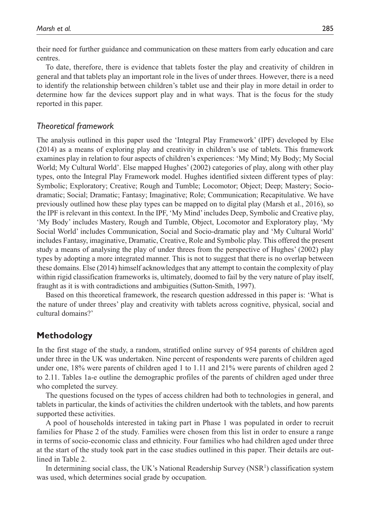their need for further guidance and communication on these matters from early education and care centres.

To date, therefore, there is evidence that tablets foster the play and creativity of children in general and that tablets play an important role in the lives of under threes. However, there is a need to identify the relationship between children's tablet use and their play in more detail in order to determine how far the devices support play and in what ways. That is the focus for the study reported in this paper.

## *Theoretical framework*

The analysis outlined in this paper used the 'Integral Play Framework' (IPF) developed by Else (2014) as a means of exploring play and creativity in children's use of tablets. This framework examines play in relation to four aspects of children's experiences: 'My Mind; My Body; My Social World; My Cultural World'. Else mapped Hughes' (2002) categories of play, along with other play types, onto the Integral Play Framework model. Hughes identified sixteen different types of play: Symbolic; Exploratory; Creative; Rough and Tumble; Locomotor; Object; Deep; Mastery; Sociodramatic; Social; Dramatic; Fantasy; Imaginative; Role; Communication; Recapitulative. We have previously outlined how these play types can be mapped on to digital play (Marsh et al., 2016), so the IPF is relevant in this context. In the IPF, 'My Mind' includes Deep, Symbolic and Creative play, 'My Body' includes Mastery, Rough and Tumble, Object, Locomotor and Exploratory play, 'My Social World' includes Communication, Social and Socio-dramatic play and 'My Cultural World' includes Fantasy, imaginative, Dramatic, Creative, Role and Symbolic play. This offered the present study a means of analysing the play of under threes from the perspective of Hughes' (2002) play types by adopting a more integrated manner. This is not to suggest that there is no overlap between these domains. Else (2014) himself acknowledges that any attempt to contain the complexity of play within rigid classification frameworks is, ultimately, doomed to fail by the very nature of play itself, fraught as it is with contradictions and ambiguities (Sutton-Smith, 1997).

Based on this theoretical framework, the research question addressed in this paper is: 'What is the nature of under threes' play and creativity with tablets across cognitive, physical, social and cultural domains?'

# **Methodology**

In the first stage of the study, a random, stratified online survey of 954 parents of children aged under three in the UK was undertaken. Nine percent of respondents were parents of children aged under one, 18% were parents of children aged 1 to 1.11 and 21% were parents of children aged 2 to 2.11. Tables 1a-e outline the demographic profiles of the parents of children aged under three who completed the survey.

The questions focused on the types of access children had both to technologies in general, and tablets in particular, the kinds of activities the children undertook with the tablets, and how parents supported these activities.

A pool of households interested in taking part in Phase 1 was populated in order to recruit families for Phase 2 of the study. Families were chosen from this list in order to ensure a range in terms of socio-economic class and ethnicity. Four families who had children aged under three at the start of the study took part in the case studies outlined in this paper. Their details are outlined in Table 2.

In determining social class, the UK's National Readership Survey (NSR<sup>1</sup>) classification system was used, which determines social grade by occupation.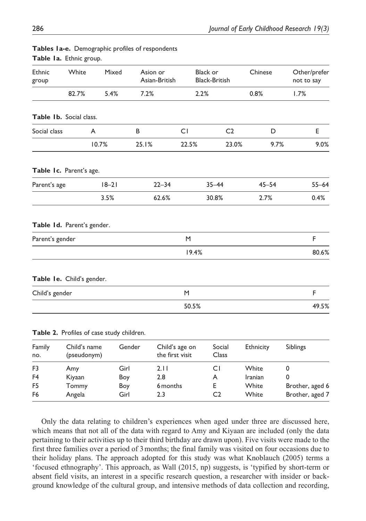| Ethnic<br>group            | White                       | Mixed                                     | Asion or<br>Asian-British                   |       | <b>Black or</b><br><b>Black-British</b> | Chinese          | Other/prefer<br>not to say |
|----------------------------|-----------------------------|-------------------------------------------|---------------------------------------------|-------|-----------------------------------------|------------------|----------------------------|
|                            | 82.7%                       | 5.4%                                      | 7.2%                                        | 2.2%  |                                         | 0.8%             | 1.7%                       |
| Table Ib. Social class.    |                             |                                           |                                             |       |                                         |                  |                            |
| Social class               |                             | A                                         | B                                           | CI    | C <sub>2</sub>                          | D                | E                          |
|                            |                             | 10.7%                                     | 25.1%                                       | 22.5% | 23.0%                                   | 9.7%             | 9.0%                       |
| Table Ic. Parent's age.    |                             |                                           |                                             |       |                                         |                  |                            |
| Parent's age               |                             | $18 - 21$                                 | $22 - 34$                                   |       | $35 - 44$                               | $45 - 54$        | $55 - 64$                  |
|                            |                             | 3.5%                                      | 62.6%                                       |       | 30.8%                                   | 2.7%             | 0.4%                       |
| Table Id. Parent's gender. |                             |                                           |                                             |       |                                         |                  |                            |
| Parent's gender            |                             |                                           |                                             | M     |                                         |                  | F                          |
|                            |                             |                                           |                                             | 19.4% |                                         |                  | 80.6%                      |
| Table Ie. Child's gender.  |                             |                                           |                                             |       |                                         |                  |                            |
| Child's gender             |                             |                                           |                                             | M     |                                         |                  | F                          |
|                            |                             |                                           |                                             | 50.5% |                                         |                  | 49.5%                      |
|                            |                             | Table 2. Profiles of case study children. |                                             |       |                                         |                  |                            |
| Family<br>no.              | Child's name<br>(pseudonym) |                                           | Gender<br>Child's age on<br>the first visit |       | Social<br>Class                         | <b>Ethnicity</b> | Siblings                   |

## **Tables 1a-e.** Demographic profiles of respondents **Table 1a.** Ethnic group.

| Only the data relating to children's experiences when aged under three are discussed here,              |
|---------------------------------------------------------------------------------------------------------|
| which means that not all of the data with regard to Amy and Kiyaan are included (only the data          |
| pertaining to their activities up to their third birthday are drawn upon). Five visits were made to the |
| first three families over a period of 3 months; the final family was visited on four occasions due to   |
| their holiday plans. The approach adopted for this study was what Knoblauch (2005) terms a              |
| 'focused ethnography'. This approach, as Wall (2015, np) suggests, is 'typified by short-term or        |
| absent field visits, an interest in a specific research question, a researcher with insider or back-    |
| ground knowledge of the cultural group, and intensive methods of data collection and recording,         |
|                                                                                                         |

F5 Tommy Boy 6months E White Brother, aged 6 F6 Angela Girl 2.3 C2 White Brother, aged 7

F3 Amy Girl 2.11 C1 White 0 F4 Kiyaan Boy 2.8 A Iranian 0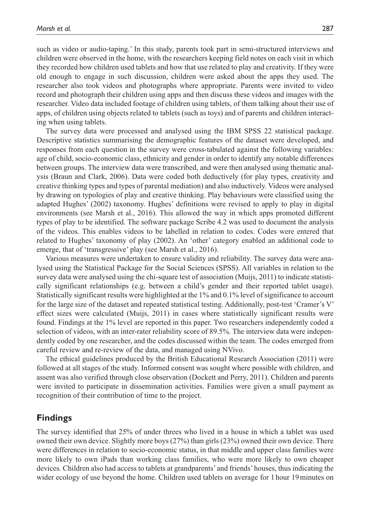such as video or audio-taping.' In this study, parents took part in semi-structured interviews and children were observed in the home, with the researchers keeping field notes on each visit in which they recorded how children used tablets and how that use related to play and creativity. If they were old enough to engage in such discussion, children were asked about the apps they used. The researcher also took videos and photographs where appropriate. Parents were invited to video record and photograph their children using apps and then discuss these videos and images with the researcher. Video data included footage of children using tablets, of them talking about their use of apps, of children using objects related to tablets (such as toys) and of parents and children interacting when using tablets.

The survey data were processed and analysed using the IBM SPSS 22 statistical package. Descriptive statistics summarising the demographic features of the dataset were developed, and responses from each question in the survey were cross-tabulated against the following variables: age of child, socio-economic class, ethnicity and gender in order to identify any notable differences between groups. The interview data were transcribed, and were then analysed using thematic analysis (Braun and Clark, 2006). Data were coded both deductively (for play types, creativity and creative thinking types and types of parental mediation) and also inductively. Videos were analysed by drawing on typologies of play and creative thinking. Play behaviours were classified using the adapted Hughes' (2002) taxonomy. Hughes' definitions were revised to apply to play in digital environments (see Marsh et al., 2016). This allowed the way in which apps promoted different types of play to be identified. The software package Scribe 4.2 was used to document the analysis of the videos. This enables videos to be labelled in relation to codes. Codes were entered that related to Hughes' taxonomy of play (2002). An 'other' category enabled an additional code to emerge, that of 'transgressive' play (see Marsh et al., 2016).

Various measures were undertaken to ensure validity and reliability. The survey data were analysed using the Statistical Package for the Social Sciences (SPSS). All variables in relation to the survey data were analysed using the chi-square test of association (Muijs, 2011) to indicate statistically significant relationships (e.g. between a child's gender and their reported tablet usage). Statistically significant results were highlighted at the 1% and 0.1% level of significance to account for the large size of the dataset and repeated statistical testing. Additionally, post-test 'Cramer's V' effect sizes were calculated (Muijs, 2011) in cases where statistically significant results were found. Findings at the 1% level are reported in this paper. Two researchers independently coded a selection of videos, with an inter-rater reliability score of 89.5%. The interview data were independently coded by one researcher, and the codes discussed within the team. The codes emerged from careful review and re-review of the data, and managed using NVivo.

The ethical guidelines produced by the British Educational Research Association (2011) were followed at all stages of the study. Informed consent was sought where possible with children, and assent was also verified through close observation (Dockett and Perry, 2011). Children and parents were invited to participate in dissemination activities. Families were given a small payment as recognition of their contribution of time to the project.

# **Findings**

The survey identified that 25% of under threes who lived in a house in which a tablet was used owned their own device. Slightly more boys (27%) than girls (23%) owned their own device. There were differences in relation to socio-economic status, in that middle and upper class families were more likely to own iPads than working class families, who were more likely to own cheaper devices. Children also had access to tablets at grandparents' and friends' houses, thus indicating the wider ecology of use beyond the home. Children used tablets on average for 1 hour 19minutes on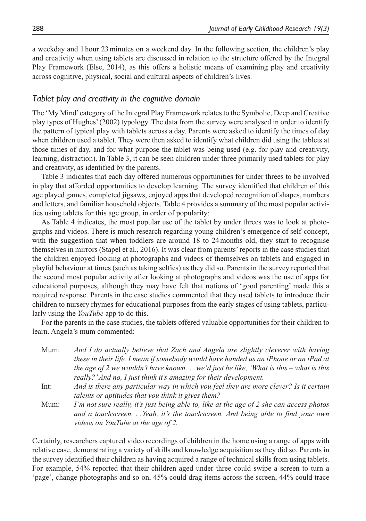a weekday and 1 hour 23minutes on a weekend day. In the following section, the children's play and creativity when using tablets are discussed in relation to the structure offered by the Integral Play Framework (Else, 2014), as this offers a holistic means of examining play and creativity across cognitive, physical, social and cultural aspects of children's lives.

## *Tablet play and creativity in the cognitive domain*

The 'My Mind' category of the Integral Play Framework relates to the Symbolic, Deep and Creative play types of Hughes' (2002) typology. The data from the survey were analysed in order to identify the pattern of typical play with tablets across a day. Parents were asked to identify the times of day when children used a tablet. They were then asked to identify what children did using the tablets at those times of day, and for what purpose the tablet was being used (e.g. for play and creativity, learning, distraction). In Table 3, it can be seen children under three primarily used tablets for play and creativity, as identified by the parents.

Table 3 indicates that each day offered numerous opportunities for under threes to be involved in play that afforded opportunities to develop learning. The survey identified that children of this age played games, completed jigsaws, enjoyed apps that developed recognition of shapes, numbers and letters, and familiar household objects. Table 4 provides a summary of the most popular activities using tablets for this age group, in order of popularity:

As Table 4 indicates, the most popular use of the tablet by under threes was to look at photographs and videos. There is much research regarding young children's emergence of self-concept, with the suggestion that when toddlers are around 18 to 24 months old, they start to recognise themselves in mirrors (Stapel et al., 2016). It was clear from parents' reports in the case studies that the children enjoyed looking at photographs and videos of themselves on tablets and engaged in playful behaviour at times (such as taking selfies) as they did so. Parents in the survey reported that the second most popular activity after looking at photographs and videos was the use of apps for educational purposes, although they may have felt that notions of 'good parenting' made this a required response. Parents in the case studies commented that they used tablets to introduce their children to nursery rhymes for educational purposes from the early stages of using tablets, particularly using the *YouTube* app to do this.

For the parents in the case studies, the tablets offered valuable opportunities for their children to learn. Angela's mum commented:

| Mum: | And I do actually believe that Zach and Angela are slightly cleverer with having         |
|------|------------------------------------------------------------------------------------------|
|      | these in their life. I mean if somebody would have handed us an iPhone or an iPad at     |
|      | the age of 2 we wouldn't have knownwe'd just be like, 'What is this – what is this       |
|      | really?' And no, I just think it's amazing for their development.                        |
| Int: | And is there any particular way in which you feel they are more clever? Is it certain    |
|      | talents or aptitudes that you think it gives them?                                       |
| Mum: | I'm not sure really, it's just being able to, like at the age of 2 she can access photos |
|      | and a touchscreen.Yeah, it's the touchscreen. And being able to find your own            |

Certainly, researchers captured video recordings of children in the home using a range of apps with relative ease, demonstrating a variety of skills and knowledge acquisition as they did so. Parents in the survey identified their children as having acquired a range of technical skills from using tablets. For example, 54% reported that their children aged under three could swipe a screen to turn a 'page', change photographs and so on, 45% could drag items across the screen, 44% could trace

*videos on YouTube at the age of 2.*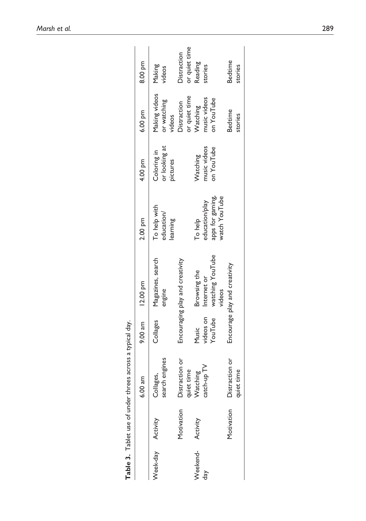| i<br>ا                         |
|--------------------------------|
| i                              |
| .<br>ا                         |
| $\ddot{\phantom{0}}$<br>ا<br>ا |
| 3                              |
| $24 + 20 + 12$<br>j<br>i       |
|                                |
|                                |
| ----                           |
|                                |
| ¢<br>ı                         |
|                                |

|                        |            | Table 3. Tablet use of under threes across a typical day. |                               |                                                           |                                                                |                                          |                                        |                              |
|------------------------|------------|-----------------------------------------------------------|-------------------------------|-----------------------------------------------------------|----------------------------------------------------------------|------------------------------------------|----------------------------------------|------------------------------|
|                        |            | $6.00$ am                                                 | 9.00 am 12.00 pm              |                                                           | 2.00 pm                                                        | 4.00 pm                                  | 6.00 pm                                | 8.00 pm                      |
| Neek-day Activity      |            | search engines<br>Collages,                               | Collages                      | Magazines, search<br>engine                               | To help with<br>education/<br>learning                         | or looking at<br>Coloring in<br>pictures | Making videos<br>or watching<br>videos | Making<br>rideos             |
|                        | Motivation | Distraction or<br>quiet time<br>Watching                  |                               | Encouraging play and creativity                           |                                                                |                                          | or quiet time<br>Oistraction           | or quiet time<br>Distraction |
| Weekend- Activity<br>ď |            | catch-up TV                                               | videos on<br>YouTube<br>Music | watching YouTube<br>Browsing the<br>Internet or<br>videos | apps for gaming,<br>watch YouTube<br>education/play<br>To help | nusic videos<br>on YouTube<br>Watching   | music videos<br>on YouTube<br>Watching | Reading<br>stories           |
|                        | Motivation | Distraction or<br>quiet time                              |                               | Encourage play and creativity                             |                                                                |                                          | Bedtime<br>stories                     | Bedtime<br>stories           |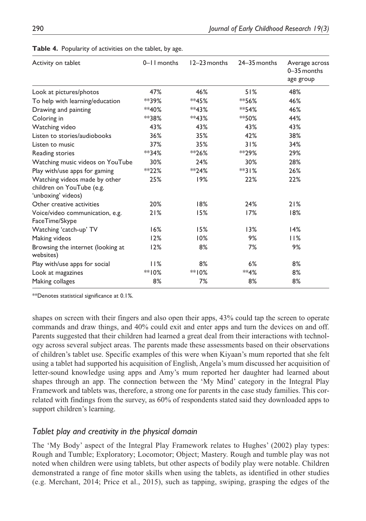| Activity on tablet                                                               | 0-11 months | 12-23 months | 24–35 months | Average across<br>0-35 months<br>age group |
|----------------------------------------------------------------------------------|-------------|--------------|--------------|--------------------------------------------|
| Look at pictures/photos                                                          | 47%         | 46%          | 51%          | 48%                                        |
| To help with learning/education                                                  | **39%       | $*45%$       | $*$ 56%      | 46%                                        |
| Drawing and painting                                                             | $*40%$      | **43%        | $*$ 54%      | 46%                                        |
| Coloring in                                                                      | **38%       | **43%        | $*$ 50%      | 44%                                        |
| Watching video                                                                   | 43%         | 43%          | 43%          | 43%                                        |
| Listen to stories/audiobooks                                                     | 36%         | 35%          | 42%          | 38%                                        |
| Listen to music                                                                  | 37%         | 35%          | 31%          | 34%                                        |
| Reading stories                                                                  | $*$ $34%$   | $*$ $26\%$   | $*$ $29\%$   | 29%                                        |
| Watching music videos on YouTube                                                 | 30%         | 24%          | 30%          | 28%                                        |
| Play with/use apps for gaming                                                    | $*$ $22%$   | $*$ $24%$    | $*$ $31%$    | 26%                                        |
| Watching videos made by other<br>children on YouTube (e.g.<br>'unboxing' videos) | 25%         | 19%          | 22%          | 22%                                        |
| Other creative activities                                                        | 20%         | 18%          | 24%          | 21%                                        |
| Voice/video communication, e.g.<br>FaceTime/Skype                                | 21%         | 15%          | 17%          | 18%                                        |
| Watching 'catch-up' TV                                                           | 16%         | 15%          | 13%          | 14%                                        |
| Making videos                                                                    | 12%         | 10%          | 9%           | 11%                                        |
| Browsing the internet (looking at<br>websites)                                   | 12%         | 8%           | 7%           | 9%                                         |
| Play with/use apps for social                                                    | 11%         | 8%           | 6%           | 8%                                         |
| Look at magazines                                                                | $*$ 10%     | $*10%$       | **4%         | 8%                                         |
| Making collages                                                                  | 8%          | 7%           | 8%           | 8%                                         |

|  | Table 4. Popularity of activities on the tablet, by age. |  |  |
|--|----------------------------------------------------------|--|--|
|  |                                                          |  |  |

\*\*Denotes statistical significance at 0.1%.

shapes on screen with their fingers and also open their apps, 43% could tap the screen to operate commands and draw things, and 40% could exit and enter apps and turn the devices on and off. Parents suggested that their children had learned a great deal from their interactions with technology across several subject areas. The parents made these assessments based on their observations of children's tablet use. Specific examples of this were when Kiyaan's mum reported that she felt using a tablet had supported his acquisition of English, Angela's mum discussed her acquisition of letter-sound knowledge using apps and Amy's mum reported her daughter had learned about shapes through an app. The connection between the 'My Mind' category in the Integral Play Framework and tablets was, therefore, a strong one for parents in the case study families. This correlated with findings from the survey, as 60% of respondents stated said they downloaded apps to support children's learning.

# *Tablet play and creativity in the physical domain*

The 'My Body' aspect of the Integral Play Framework relates to Hughes' (2002) play types: Rough and Tumble; Exploratory; Locomotor; Object; Mastery. Rough and tumble play was not noted when children were using tablets, but other aspects of bodily play were notable. Children demonstrated a range of fine motor skills when using the tablets, as identified in other studies (e.g. Merchant, 2014; Price et al., 2015), such as tapping, swiping, grasping the edges of the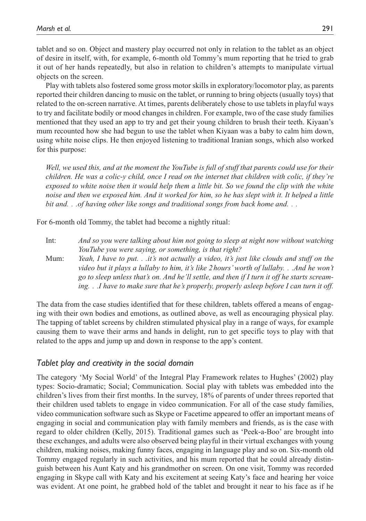tablet and so on. Object and mastery play occurred not only in relation to the tablet as an object of desire in itself, with, for example, 6-month old Tommy's mum reporting that he tried to grab it out of her hands repeatedly, but also in relation to children's attempts to manipulate virtual objects on the screen.

Play with tablets also fostered some gross motor skills in exploratory/locomotor play, as parents reported their children dancing to music on the tablet, or running to bring objects (usually toys) that related to the on-screen narrative. At times, parents deliberately chose to use tablets in playful ways to try and facilitate bodily or mood changes in children. For example, two of the case study families mentioned that they used an app to try and get their young children to brush their teeth. Kiyaan's mum recounted how she had begun to use the tablet when Kiyaan was a baby to calm him down, using white noise clips. He then enjoyed listening to traditional Iranian songs, which also worked for this purpose:

*Well, we used this, and at the moment the YouTube is full of stuff that parents could use for their children. He was a colic-y child, once I read on the internet that children with colic, if they're exposed to white noise then it would help them a little bit. So we found the clip with the white noise and then we exposed him. And it worked for him, so he has slept with it. It helped a little bit and. . .of having other like songs and traditional songs from back home and. . .*

For 6-month old Tommy, the tablet had become a nightly ritual:

- Int: *And so you were talking about him not going to sleep at night now without watching YouTube you were saying, or something, is that right?*
- Mum: *Yeah, I have to put. . .it's not actually a video, it's just like clouds and stuff on the video but it plays a lullaby to him, it's like 2 hours' worth of lullaby. . .And he won't go to sleep unless that's on. And he'll settle, and then if I turn it off he starts screaming. . .I have to make sure that he's properly, properly asleep before I can turn it off.*

The data from the case studies identified that for these children, tablets offered a means of engaging with their own bodies and emotions, as outlined above, as well as encouraging physical play. The tapping of tablet screens by children stimulated physical play in a range of ways, for example causing them to wave their arms and hands in delight, run to get specific toys to play with that related to the apps and jump up and down in response to the app's content.

### *Tablet play and creativity in the social domain*

The category 'My Social World' of the Integral Play Framework relates to Hughes' (2002) play types: Socio-dramatic; Social; Communication. Social play with tablets was embedded into the children's lives from their first months. In the survey, 18% of parents of under threes reported that their children used tablets to engage in video communication. For all of the case study families, video communication software such as Skype or Facetime appeared to offer an important means of engaging in social and communication play with family members and friends, as is the case with regard to older children (Kelly, 2015). Traditional games such as 'Peek-a-Boo' are brought into these exchanges, and adults were also observed being playful in their virtual exchanges with young children, making noises, making funny faces, engaging in language play and so on. Six-month old Tommy engaged regularly in such activities, and his mum reported that he could already distinguish between his Aunt Katy and his grandmother on screen. On one visit, Tommy was recorded engaging in Skype call with Katy and his excitement at seeing Katy's face and hearing her voice was evident. At one point, he grabbed hold of the tablet and brought it near to his face as if he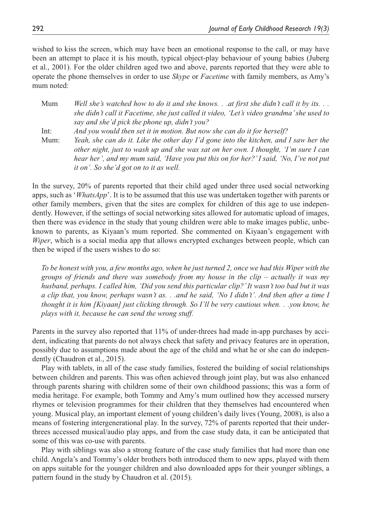wished to kiss the screen, which may have been an emotional response to the call, or may have been an attempt to place it is his mouth, typical object-play behaviour of young babies (Juberg et al., 2001). For the older children aged two and above, parents reported that they were able to operate the phone themselves in order to use *Skype* or *Facetime* with family members, as Amy's mum noted:

Mum *Well she's watched how to do it and she knows. . .at first she didn't call it by its. . . she didn't call it Facetime, she just called it video, 'Let's video grandma' she used to say and she'd pick the phone up, didn't you?* Int: *And you would then set it in motion. But now she can do it for herself?*

Mum: *Yeah, she can do it. Like the other day I'd gone into the kitchen, and I saw her the other night, just to wash up and she was sat on her own. I thought, 'I'm sure I can hear her', and my mum said, 'Have you put this on for her?' I said, 'No, I've not put it on'. So she'd got on to it as well.*

In the survey, 20% of parents reported that their child aged under three used social networking apps, such as '*WhatsApp*'. It is to be assumed that this use was undertaken together with parents or other family members, given that the sites are complex for children of this age to use independently. However, if the settings of social networking sites allowed for automatic upload of images, then there was evidence in the study that young children were able to make images public, unbeknown to parents, as Kiyaan's mum reported. She commented on Kiyaan's engagement with *Wiper*, which is a social media app that allows encrypted exchanges between people, which can then be wiped if the users wishes to do so:

*To be honest with you, a few months ago, when he just turned 2, once we had this Wiper with the groups of friends and there was somebody from my house in the clip – actually it was my husband, perhaps. I called him, 'Did you send this particular clip?' It wasn't too bad but it was a clip that, you know, perhaps wasn't as. . .and he said, 'No I didn't'. And then after a time I thought it is him [Kiyaan] just clicking through. So I'll be very cautious when. . .you know, he plays with it, because he can send the wrong stuff.*

Parents in the survey also reported that 11% of under-threes had made in-app purchases by accident, indicating that parents do not always check that safety and privacy features are in operation, possibly due to assumptions made about the age of the child and what he or she can do independently (Chaudron et al., 2015).

Play with tablets, in all of the case study families, fostered the building of social relationships between children and parents. This was often achieved through joint play, but was also enhanced through parents sharing with children some of their own childhood passions; this was a form of media heritage. For example, both Tommy and Amy's mum outlined how they accessed nursery rhymes or television programmes for their children that they themselves had encountered when young. Musical play, an important element of young children's daily lives (Young, 2008), is also a means of fostering intergenerational play. In the survey, 72% of parents reported that their underthrees accessed musical/audio play apps, and from the case study data, it can be anticipated that some of this was co-use with parents.

Play with siblings was also a strong feature of the case study families that had more than one child. Angela's and Tommy's older brothers both introduced them to new apps, played with them on apps suitable for the younger children and also downloaded apps for their younger siblings, a pattern found in the study by Chaudron et al. (2015).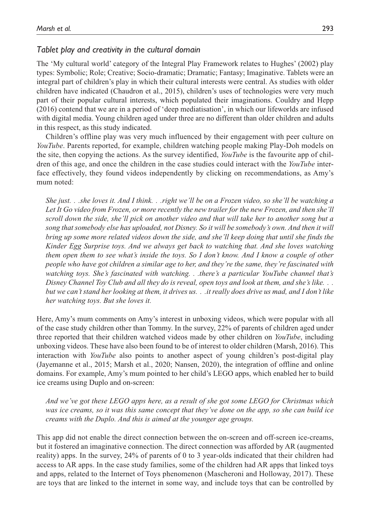# *Tablet play and creativity in the cultural domain*

The 'My cultural world' category of the Integral Play Framework relates to Hughes' (2002) play types: Symbolic; Role; Creative; Socio-dramatic; Dramatic; Fantasy; Imaginative. Tablets were an integral part of children's play in which their cultural interests were central. As studies with older children have indicated (Chaudron et al., 2015), children's uses of technologies were very much part of their popular cultural interests, which populated their imaginations. Couldry and Hepp (2016) contend that we are in a period of 'deep mediatisation', in which our lifeworlds are infused with digital media. Young children aged under three are no different than older children and adults in this respect, as this study indicated.

Children's offline play was very much influenced by their engagement with peer culture on *YouTube*. Parents reported, for example, children watching people making Play-Doh models on the site, then copying the actions. As the survey identified, *YouTube* is the favourite app of children of this age, and once the children in the case studies could interact with the *YouTube* interface effectively, they found videos independently by clicking on recommendations, as Amy's mum noted:

*She just. . .she loves it. And I think. . .right we'll be on a Frozen video, so she'll be watching a Let It Go video from Frozen, or more recently the new trailer for the new Frozen, and then she'll scroll down the side, she'll pick on another video and that will take her to another song but a song that somebody else has uploaded, not Disney. So it will be somebody's own. And then it will bring up some more related videos down the side, and she'll keep doing that until she finds the Kinder Egg Surprise toys. And we always get back to watching that. And she loves watching them open them to see what's inside the toys. So I don't know. And I know a couple of other people who have got children a similar age to her, and they're the same, they're fascinated with watching toys. She's fascinated with watching. . .there's a particular YouTube channel that's Disney Channel Toy Club and all they do is reveal, open toys and look at them, and she's like. . . but we can't stand her looking at them, it drives us. . .it really does drive us mad, and I don't like her watching toys. But she loves it.*

Here, Amy's mum comments on Amy's interest in unboxing videos, which were popular with all of the case study children other than Tommy. In the survey, 22% of parents of children aged under three reported that their children watched videos made by other children on *YouTube*, including unboxing videos. These have also been found to be of interest to older children (Marsh, 2016). This interaction with *YouTube* also points to another aspect of young children's post-digital play (Jayemanne et al., 2015; Marsh et al., 2020; Nansen, 2020), the integration of offline and online domains. For example, Amy's mum pointed to her child's LEGO apps, which enabled her to build ice creams using Duplo and on-screen:

*And we've got these LEGO apps here, as a result of she got some LEGO for Christmas which was ice creams, so it was this same concept that they've done on the app, so she can build ice creams with the Duplo. And this is aimed at the younger age groups.*

This app did not enable the direct connection between the on-screen and off-screen ice-creams, but it fostered an imaginative connection. The direct connection was afforded by AR (augmented reality) apps. In the survey, 24% of parents of 0 to 3 year-olds indicated that their children had access to AR apps. In the case study families, some of the children had AR apps that linked toys and apps, related to the Internet of Toys phenomenon (Mascheroni and Holloway, 2017). These are toys that are linked to the internet in some way, and include toys that can be controlled by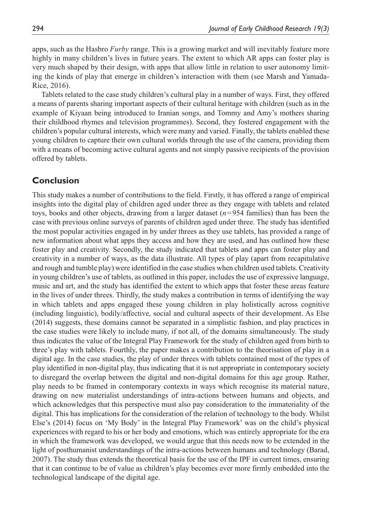apps, such as the Hasbro *Furby* range. This is a growing market and will inevitably feature more highly in many children's lives in future years. The extent to which AR apps can foster play is very much shaped by their design, with apps that allow little in relation to user autonomy limiting the kinds of play that emerge in children's interaction with them (see Marsh and Yamada-Rice, 2016).

Tablets related to the case study children's cultural play in a number of ways. First, they offered a means of parents sharing important aspects of their cultural heritage with children (such as in the example of Kiyaan being introduced to Iranian songs, and Tommy and Amy's mothers sharing their childhood rhymes and television programmes). Second, they fostered engagement with the children's popular cultural interests, which were many and varied. Finally, the tablets enabled these young children to capture their own cultural worlds through the use of the camera, providing them with a means of becoming active cultural agents and not simply passive recipients of the provision offered by tablets.

# **Conclusion**

This study makes a number of contributions to the field. Firstly, it has offered a range of empirical insights into the digital play of children aged under three as they engage with tablets and related toys, books and other objects, drawing from a larger dataset (*n*=954 families) than has been the case with previous online surveys of parents of children aged under three. The study has identified the most popular activities engaged in by under threes as they use tablets, has provided a range of new information about what apps they access and how they are used, and has outlined how these foster play and creativity. Secondly, the study indicated that tablets and apps can foster play and creativity in a number of ways, as the data illustrate. All types of play (apart from recapitulative and rough and tumble play) were identified in the case studies when children used tablets. Creativity in young children's use of tablets, as outlined in this paper, includes the use of expressive language, music and art, and the study has identified the extent to which apps that foster these areas feature in the lives of under threes. Thirdly, the study makes a contribution in terms of identifying the way in which tablets and apps engaged these young children in play holistically across cognitive (including linguistic), bodily/affective, social and cultural aspects of their development. As Else (2014) suggests, these domains cannot be separated in a simplistic fashion, and play practices in the case studies were likely to include many, if not all, of the domains simultaneously. The study thus indicates the value of the Integral Play Framework for the study of children aged from birth to three's play with tablets. Fourthly, the paper makes a contribution to the theorisation of play in a digital age. In the case studies, the play of under threes with tablets contained most of the types of play identified in non-digital play, thus indicating that it is not appropriate in contemporary society to disregard the overlap between the digital and non-digital domains for this age group. Rather, play needs to be framed in contemporary contexts in ways which recognise its material nature, drawing on new materialist understandings of intra-actions between humans and objects, and which acknowledges that this perspective must also pay consideration to the immateriality of the digital. This has implications for the consideration of the relation of technology to the body. Whilst Else's (2014) focus on 'My Body' in the Integral Play Framework' was on the child's physical experiences with regard to his or her body and emotions, which was entirely appropriate for the era in which the framework was developed, we would argue that this needs now to be extended in the light of posthumanist understandings of the intra-actions between humans and technology (Barad, 2007). The study thus extends the theoretical basis for the use of the IPF in current times, ensuring that it can continue to be of value as children's play becomes ever more firmly embedded into the technological landscape of the digital age.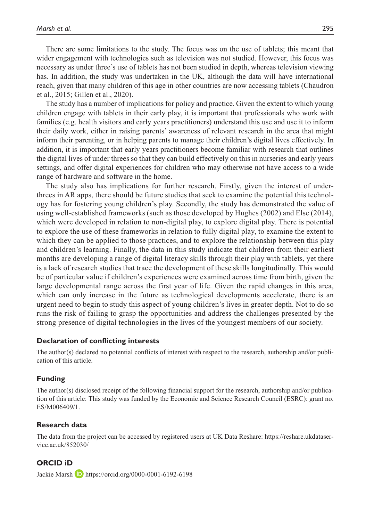There are some limitations to the study. The focus was on the use of tablets; this meant that wider engagement with technologies such as television was not studied. However, this focus was necessary as under three's use of tablets has not been studied in depth, whereas television viewing has. In addition, the study was undertaken in the UK, although the data will have international reach, given that many children of this age in other countries are now accessing tablets (Chaudron et al., 2015; Gillen et al., 2020).

The study has a number of implications for policy and practice. Given the extent to which young children engage with tablets in their early play, it is important that professionals who work with families (e.g. health visitors and early years practitioners) understand this use and use it to inform their daily work, either in raising parents' awareness of relevant research in the area that might inform their parenting, or in helping parents to manage their children's digital lives effectively. In addition, it is important that early years practitioners become familiar with research that outlines the digital lives of under threes so that they can build effectively on this in nurseries and early years settings, and offer digital experiences for children who may otherwise not have access to a wide range of hardware and software in the home.

The study also has implications for further research. Firstly, given the interest of underthrees in AR apps, there should be future studies that seek to examine the potential this technology has for fostering young children's play. Secondly, the study has demonstrated the value of using well-established frameworks (such as those developed by Hughes (2002) and Else (2014), which were developed in relation to non-digital play, to explore digital play. There is potential to explore the use of these frameworks in relation to fully digital play, to examine the extent to which they can be applied to those practices, and to explore the relationship between this play and children's learning. Finally, the data in this study indicate that children from their earliest months are developing a range of digital literacy skills through their play with tablets, yet there is a lack of research studies that trace the development of these skills longitudinally. This would be of particular value if children's experiences were examined across time from birth, given the large developmental range across the first year of life. Given the rapid changes in this area, which can only increase in the future as technological developments accelerate, there is an urgent need to begin to study this aspect of young children's lives in greater depth. Not to do so runs the risk of failing to grasp the opportunities and address the challenges presented by the strong presence of digital technologies in the lives of the youngest members of our society.

### **Declaration of conflicting interests**

The author(s) declared no potential conflicts of interest with respect to the research, authorship and/or publication of this article.

### **Funding**

The author(s) disclosed receipt of the following financial support for the research, authorship and/or publication of this article: This study was funded by the Economic and Science Research Council (ESRC): grant no. ES/M006409/1.

#### **Research data**

The data from the project can be accessed by registered users at UK Data Reshare: [https://reshare.ukdataser](https://reshare.ukdataservice.ac.uk/852030/)[vice.ac.uk/852030/](https://reshare.ukdataservice.ac.uk/852030/)

## **ORCID iD**

Jackie Marsh **D** <https://orcid.org/0000-0001-6192-6198>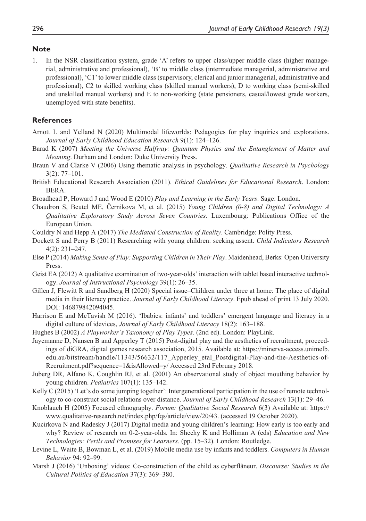### **Note**

1. In the NSR classification system, grade 'A' refers to upper class/upper middle class (higher managerial, administrative and professional), 'B' to middle class (intermediate managerial, administrative and professional), 'C1' to lower middle class (supervisory, clerical and junior managerial, administrative and professional), C2 to skilled working class (skilled manual workers), D to working class (semi-skilled and unskilled manual workers) and E to non-working (state pensioners, casual/lowest grade workers, unemployed with state benefits).

## **References**

- Arnott L and Yelland N (2020) Multimodal lifeworlds: Pedagogies for play inquiries and explorations. *Journal of Early Childhood Education Research* 9(1): 124–126.
- Barad K (2007) *Meeting the Universe Halfway: Quantum Physics and the Entanglement of Matter and Meaning*. Durham and London: Duke University Press.
- Braun V and Clarke V (2006) Using thematic analysis in psychology. *Qualitative Research in Psychology* 3(2): 77–101.
- British Educational Research Association (2011). *Ethical Guidelines for Educational Research*. London: BERA.
- Broadhead P, Howard J and Wood E (2010) *Play and Learning in the Early Years*. Sage: London.
- Chaudron S, Beutel ME, Černikova M, et al. (2015) *Young Children (0-8) and Digital Technology: A Qualitative Exploratory Study Across Seven Countries*. Luxembourg: Publications Office of the European Union.
- Couldry N and Hepp A (2017) *The Mediated Construction of Reality*. Cambridge: Polity Press.
- Dockett S and Perry B (2011) Researching with young children: seeking assent. *Child Indicators Research* 4(2): 231–247.
- Else P (2014) *Making Sense of Play: Supporting Children in Their Play*. Maidenhead, Berks: Open University Press.
- Geist EA (2012) A qualitative examination of two-year-olds' interaction with tablet based interactive technology. *Journal of Instructional Psychology* 39(1): 26–35.
- Gillen J, Flewitt R and Sandberg H (2020) Special issue–Children under three at home: The place of digital media in their literacy practice. *Journal of Early Childhood Literacy*. Epub ahead of print 13 July 2020. DOI: 146879842094045.
- Harrison E and McTavish M (2016). 'Ibabies: infants' and toddlers' emergent language and literacy in a digital culture of idevices, *Journal of Early Childhood Literacy* 18(2): 163–188.
- Hughes B (2002) *A Playworker's Taxonomy of Play Types*. (2nd ed). London: PlayLink.
- Jayemanne D, Nansen B and Apperley T (2015) Post-digital play and the aesthetics of recruitment, proceedings of diGRA, digital games research association, 2015. Available at: [https://minerva-access.unimelb.](https://minerva-access.unimelb.edu.au/bitstream/handle/11343/56632/117_Apperley_etal_Postdigital-Play-and-the-Aesthetics-of-Recruitment.pdf?sequence=1&isAllowed=y/) [edu.au/bitstream/handle/11343/56632/117\\_Apperley\\_etal\\_Postdigital-Play-and-the-Aesthetics-of-](https://minerva-access.unimelb.edu.au/bitstream/handle/11343/56632/117_Apperley_etal_Postdigital-Play-and-the-Aesthetics-of-Recruitment.pdf?sequence=1&isAllowed=y/)[Recruitment.pdf?sequence=1&isAllowed=y/](https://minerva-access.unimelb.edu.au/bitstream/handle/11343/56632/117_Apperley_etal_Postdigital-Play-and-the-Aesthetics-of-Recruitment.pdf?sequence=1&isAllowed=y/) Accessed 23rd February 2018.
- Juberg DR, Alfano K, Coughlin RJ, et al. (2001) An observational study of object mouthing behavior by young children. *Pediatrics* 107(1): 135–142.
- Kelly C (2015) 'Let's do some jumping together': Intergenerational participation in the use of remote technology to co-construct social relations over distance. *Journal of Early Childhood Research* 13(1): 29–46.
- Knoblauch H (2005) Focused ethnography. *Forum: Qualitative Social Research* 6(3) Available at: [https://](https://www.qualitative-research.net/index.php/fqs/article/view/20/43) [www.qualitative-research.net/index.php/fqs/article/view/20/43](https://www.qualitative-research.net/index.php/fqs/article/view/20/43). (accessed 19 October 2020).
- Kucirkova N and Radesky J (2017) Digital media and young children's learning: How early is too early and why? Review of research on 0-2-year-olds. In: Sheehy K and Holliman A (eds) *Education and New Technologies: Perils and Promises for Learners*. (pp. 15–32). London: Routledge.
- Levine L, Waite B, Bowman L, et al. (2019) Mobile media use by infants and toddlers. *Computers in Human Behavior* 94: 92–99.
- Marsh J (2016) 'Unboxing' videos: Co-construction of the child as cyberflâneur. *Discourse: Studies in the Cultural Politics of Education* 37(3): 369–380.